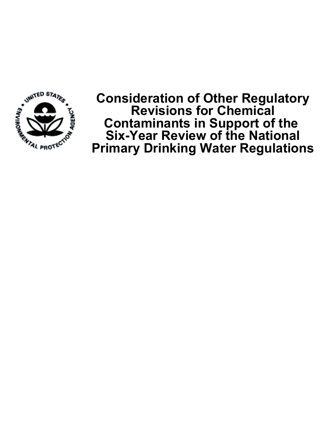

**Consideration of Other Regulatory Revisions for Chemical Contaminants in Support of the Six-Year Review of the National Primary Drinking Water Regulations**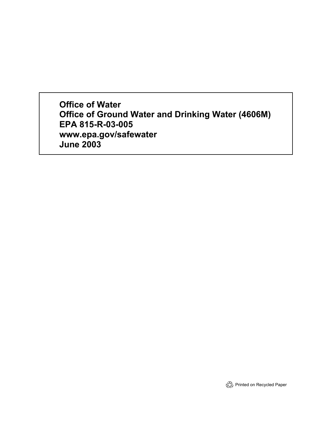**Office of Water Office of Ground Water and Drinking Water (4606M) EPA 815-R-03-005 www.epa.gov/safewater June 2003**

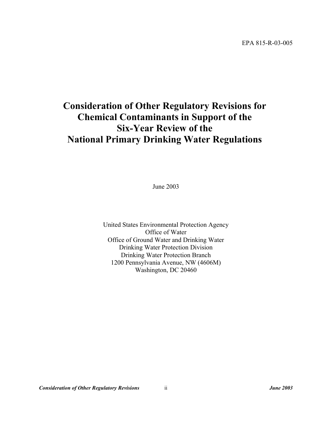# **Consideration of Other Regulatory Revisions for Chemical Contaminants in Support of the Six-Year Review of the National Primary Drinking Water Regulations**

June 2003

United States Environmental Protection Agency Office of Water Office of Ground Water and Drinking Water Drinking Water Protection Division Drinking Water Protection Branch 1200 Pennsylvania Avenue, NW (4606M) Washington, DC 20460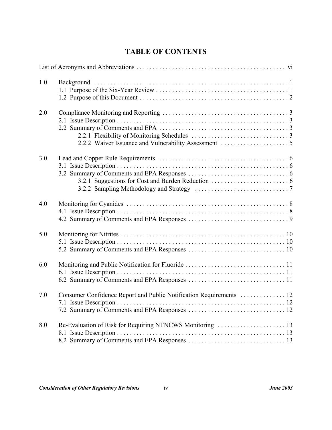## **TABLE OF CONTENTS**

| 1.0 |                                                                     |
|-----|---------------------------------------------------------------------|
| 2.0 |                                                                     |
| 3.0 |                                                                     |
| 4.0 |                                                                     |
| 5.0 |                                                                     |
| 6.0 |                                                                     |
| 7.0 | Consumer Confidence Report and Public Notification Requirements  12 |
| 8.0 |                                                                     |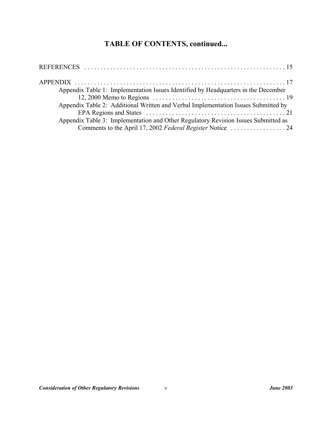## **TABLE OF CONTENTS, continued...**

| Appendix Table 1: Implementation Issues Identified by Headquarters in the December |  |
|------------------------------------------------------------------------------------|--|
|                                                                                    |  |
| Appendix Table 2: Additional Written and Verbal Implementation Issues Submitted by |  |
|                                                                                    |  |
| Appendix Table 3: Implementation and Other Regulatory Revision Issues Submitted as |  |
|                                                                                    |  |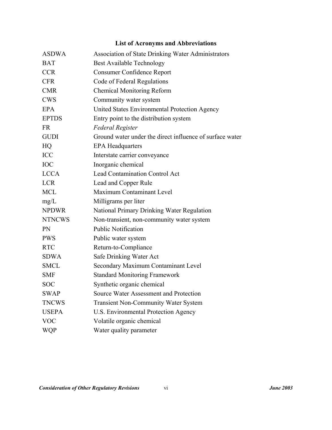## **List of Acronyms and Abbreviations**

| <b>ASDWA</b>  | Association of State Drinking Water Administrators       |
|---------------|----------------------------------------------------------|
| <b>BAT</b>    | <b>Best Available Technology</b>                         |
| <b>CCR</b>    | <b>Consumer Confidence Report</b>                        |
| <b>CFR</b>    | Code of Federal Regulations                              |
| <b>CMR</b>    | <b>Chemical Monitoring Reform</b>                        |
| <b>CWS</b>    | Community water system                                   |
| EPA           | United States Environmental Protection Agency            |
| <b>EPTDS</b>  | Entry point to the distribution system                   |
| <b>FR</b>     | <b>Federal Register</b>                                  |
| <b>GUDI</b>   | Ground water under the direct influence of surface water |
| HQ            | <b>EPA Headquarters</b>                                  |
| <b>ICC</b>    | Interstate carrier conveyance                            |
| IOC           | Inorganic chemical                                       |
| <b>LCCA</b>   | <b>Lead Contamination Control Act</b>                    |
| <b>LCR</b>    | Lead and Copper Rule                                     |
| <b>MCL</b>    | Maximum Contaminant Level                                |
| mg/L          | Milligrams per liter                                     |
| <b>NPDWR</b>  | National Primary Drinking Water Regulation               |
| <b>NTNCWS</b> | Non-transient, non-community water system                |
| PN            | <b>Public Notification</b>                               |
| <b>PWS</b>    | Public water system                                      |
| <b>RTC</b>    | Return-to-Compliance                                     |
| <b>SDWA</b>   | Safe Drinking Water Act                                  |
| <b>SMCL</b>   | Secondary Maximum Contaminant Level                      |
| <b>SMF</b>    | <b>Standard Monitoring Framework</b>                     |
| <b>SOC</b>    | Synthetic organic chemical                               |
| <b>SWAP</b>   | Source Water Assessment and Protection                   |
| <b>TNCWS</b>  | <b>Transient Non-Community Water System</b>              |
| <b>USEPA</b>  | U.S. Environmental Protection Agency                     |
| <b>VOC</b>    | Volatile organic chemical                                |
| <b>WQP</b>    | Water quality parameter                                  |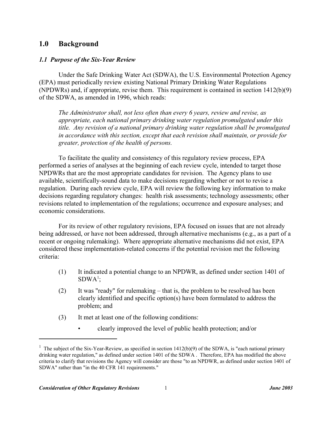#### **1.0 Background**

#### *1.1 Purpose of the Six-Year Review*

Under the Safe Drinking Water Act (SDWA), the U.S. Environmental Protection Agency (EPA) must periodically review existing National Primary Drinking Water Regulations (NPDWRs) and, if appropriate, revise them. This requirement is contained in section 1412(b)(9) of the SDWA, as amended in 1996, which reads:

*The Administrator shall, not less often than every 6 years, review and revise, as appropriate, each national primary drinking water regulation promulgated under this title. Any revision of a national primary drinking water regulation shall be promulgated in accordance with this section, except that each revision shall maintain, or provide for greater, protection of the health of persons.*

To facilitate the quality and consistency of this regulatory review process, EPA performed a series of analyses at the beginning of each review cycle, intended to target those NPDWRs that are the most appropriate candidates for revision. The Agency plans to use available, scientifically-sound data to make decisions regarding whether or not to revise a regulation. During each review cycle, EPA will review the following key information to make decisions regarding regulatory changes: health risk assessments; technology assessments; other revisions related to implementation of the regulations; occurrence and exposure analyses; and economic considerations.

For its review of other regulatory revisions, EPA focused on issues that are not already being addressed, or have not been addressed, through alternative mechanisms (e.g., as a part of a recent or ongoing rulemaking). Where appropriate alternative mechanisms did not exist, EPA considered these implementation-related concerns if the potential revision met the following criteria:

- (1) It indicated a potential change to an NPDWR, as defined under section 1401 of  $SDWA<sup>1</sup>$ ;
- (2) It was "ready" for rulemaking that is, the problem to be resolved has been clearly identified and specific option(s) have been formulated to address the problem; and
- (3) It met at least one of the following conditions:
	- clearly improved the level of public health protection; and/or

<sup>&</sup>lt;sup>1</sup> The subject of the Six-Year-Review, as specified in section  $1412(b)(9)$  of the SDWA, is "each national primary drinking water regulation," as defined under section 1401 of the SDWA . Therefore, EPA has modified the above criteria to clarify that revisions the Agency will consider are those "to an NPDWR, as defined under section 1401 of SDWA" rather than "in the 40 CFR 141 requirements."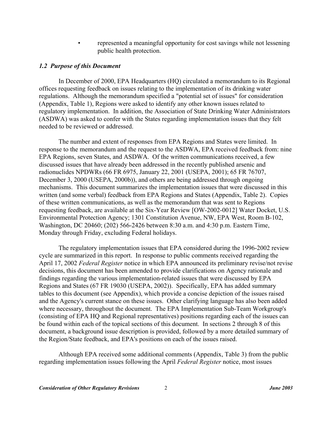• represented a meaningful opportunity for cost savings while not lessening public health protection.

#### *1.2 Purpose of this Document*

In December of 2000, EPA Headquarters (HQ) circulated a memorandum to its Regional offices requesting feedback on issues relating to the implementation of its drinking water regulations. Although the memorandum specified a "potential set of issues" for consideration (Appendix, Table 1), Regions were asked to identify any other known issues related to regulatory implementation. In addition, the Association of State Drinking Water Administrators (ASDWA) was asked to confer with the States regarding implementation issues that they felt needed to be reviewed or addressed.

The number and extent of responses from EPA Regions and States were limited. In response to the memorandum and the request to the ASDWA, EPA received feedback from: nine EPA Regions, seven States, and ASDWA. Of the written communications received, a few discussed issues that have already been addressed in the recently published arsenic and radionuclides NPDWRs (66 FR 6975, January 22, 2001 (USEPA, 2001); 65 FR 76707, December 3, 2000 (USEPA, 2000b)), and others are being addressed through ongoing mechanisms. This document summarizes the implementation issues that were discussed in this written (and some verbal) feedback from EPA Regions and States (Appendix, Table 2). Copies of these written communications, as well as the memorandum that was sent to Regions requesting feedback, are available at the Six-Year Review [OW-2002-0012] Water Docket, U.S. Environmental Protection Agency; 1301 Constitution Avenue, NW, EPA West, Room B-102, Washington, DC 20460; (202) 566-2426 between 8:30 a.m. and 4:30 p.m. Eastern Time, Monday through Friday, excluding Federal holidays.

The regulatory implementation issues that EPA considered during the 1996-2002 review cycle are summarized in this report. In response to public comments received regarding the April 17, 2002 *Federal Register* notice in which EPA announced its preliminary revise/not revise decisions, this document has been amended to provide clarifications on Agency rationale and findings regarding the various implementation-related issues that were discussed by EPA Regions and States (67 FR 19030 (USEPA, 2002)). Specifically, EPA has added summary tables to this document (see Appendix), which provide a concise depiction of the issues raised and the Agency's current stance on these issues. Other clarifying language has also been added where necessary, throughout the document. The EPA Implementation Sub-Team Workgroup's (consisting of EPA HQ and Regional representatives) positions regarding each of the issues can be found within each of the topical sections of this document. In sections 2 through 8 of this document, a background issue description is provided, followed by a more detailed summary of the Region/State feedback, and EPA's positions on each of the issues raised.

Although EPA received some additional comments (Appendix, Table 3) from the public regarding implementation issues following the April *Federal Register* notice, most issues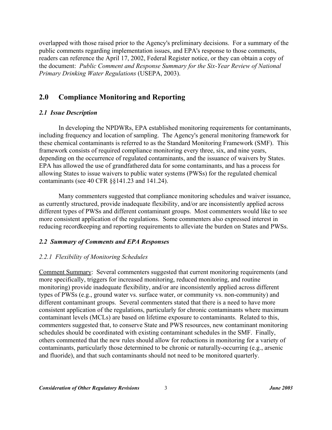overlapped with those raised prior to the Agency's preliminary decisions. For a summary of the public comments regarding implementation issues, and EPA's response to those comments, readers can reference the April 17, 2002, Federal Register notice, or they can obtain a copy of the document: *Public Comment and Response Summary for the Six-Year Review of National Primary Drinking Water Regulations* (USEPA, 2003).

### **2.0 Compliance Monitoring and Reporting**

#### *2.1 Issue Description*

In developing the NPDWRs, EPA established monitoring requirements for contaminants, including frequency and location of sampling. The Agency's general monitoring framework for these chemical contaminants is referred to as the Standard Monitoring Framework (SMF). This framework consists of required compliance monitoring every three, six, and nine years, depending on the occurrence of regulated contaminants, and the issuance of waivers by States. EPA has allowed the use of grandfathered data for some contaminants, and has a process for allowing States to issue waivers to public water systems (PWSs) for the regulated chemical contaminants (see 40 CFR §§141.23 and 141.24).

Many commenters suggested that compliance monitoring schedules and waiver issuance, as currently structured, provide inadequate flexibility, and/or are inconsistently applied across different types of PWSs and different contaminant groups. Most commenters would like to see more consistent application of the regulations. Some commenters also expressed interest in reducing recordkeeping and reporting requirements to alleviate the burden on States and PWSs.

#### *2.2 Summary of Comments and EPA Responses*

#### *2.2.1 Flexibility of Monitoring Schedules*

Comment Summary: Several commenters suggested that current monitoring requirements (and more specifically, triggers for increased monitoring, reduced monitoring, and routine monitoring) provide inadequate flexibility, and/or are inconsistently applied across different types of PWSs (e.g., ground water vs. surface water, or community vs. non-community) and different contaminant groups. Several commenters stated that there is a need to have more consistent application of the regulations, particularly for chronic contaminants where maximum contaminant levels (MCLs) are based on lifetime exposure to contaminants. Related to this, commenters suggested that, to conserve State and PWS resources, new contaminant monitoring schedules should be coordinated with existing contaminant schedules in the SMF. Finally, others commented that the new rules should allow for reductions in monitoring for a variety of contaminants, particularly those determined to be chronic or naturally-occurring (e.g., arsenic and fluoride), and that such contaminants should not need to be monitored quarterly.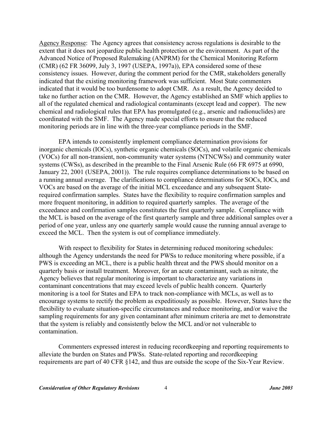Agency Response: The Agency agrees that consistency across regulations is desirable to the extent that it does not jeopardize public health protection or the environment. As part of the Advanced Notice of Proposed Rulemaking (ANPRM) for the Chemical Monitoring Reform (CMR) (62 FR 36099, July 3, 1997 (USEPA, 1997a)), EPA considered some of these consistency issues. However, during the comment period for the CMR, stakeholders generally indicated that the existing monitoring framework was sufficient. Most State commenters indicated that it would be too burdensome to adopt CMR. As a result, the Agency decided to take no further action on the CMR. However, the Agency established an SMF which applies to all of the regulated chemical and radiological contaminants (except lead and copper). The new chemical and radiological rules that EPA has promulgated (e.g., arsenic and radionuclides) are coordinated with the SMF. The Agency made special efforts to ensure that the reduced monitoring periods are in line with the three-year compliance periods in the SMF.

EPA intends to consistently implement compliance determination provisions for inorganic chemicals (IOCs), synthetic organic chemicals (SOCs), and volatile organic chemicals (VOCs) for all non-transient, non-community water systems (NTNCWSs) and community water systems (CWSs), as described in the preamble to the Final Arsenic Rule (66 FR 6975 at 6990, January 22, 2001 (USEPA, 2001)). The rule requires compliance determinations to be based on a running annual average. The clarifications to compliance determinations for SOCs, IOCs, and VOCs are based on the average of the initial MCL exceedance and any subsequent Staterequired confirmation samples. States have the flexibility to require confirmation samples and more frequent monitoring, in addition to required quarterly samples. The average of the exceedance and confirmation samples constitutes the first quarterly sample. Compliance with the MCL is based on the average of the first quarterly sample and three additional samples over a period of one year, unless any one quarterly sample would cause the running annual average to exceed the MCL. Then the system is out of compliance immediately.

With respect to flexibility for States in determining reduced monitoring schedules: although the Agency understands the need for PWSs to reduce monitoring where possible, if a PWS is exceeding an MCL, there is a public health threat and the PWS should monitor on a quarterly basis or install treatment. Moreover, for an acute contaminant, such as nitrate, the Agency believes that regular monitoring is important to characterize any variations in contaminant concentrations that may exceed levels of public health concern. Quarterly monitoring is a tool for States and EPA to track non-compliance with MCLs, as well as to encourage systems to rectify the problem as expeditiously as possible. However, States have the flexibility to evaluate situation-specific circumstances and reduce monitoring, and/or waive the sampling requirements for any given contaminant after minimum criteria are met to demonstrate that the system is reliably and consistently below the MCL and/or not vulnerable to contamination.

Commenters expressed interest in reducing recordkeeping and reporting requirements to alleviate the burden on States and PWSs. State-related reporting and recordkeeping requirements are part of 40 CFR §142, and thus are outside the scope of the Six-Year Review.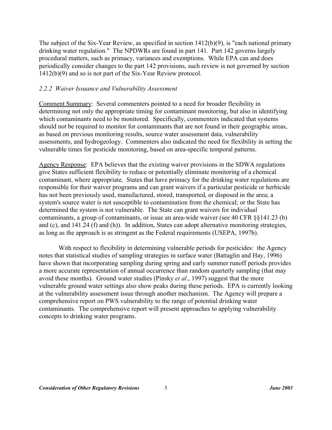The subject of the Six-Year Review, as specified in section 1412(b)(9), is "each national primary drinking water regulation." The NPDWRs are found in part 141. Part 142 governs largely procedural matters, such as primacy, variances and exemptions. While EPA can and does periodically consider changes to the part 142 provisions, such review is not governed by section 1412(b)(9) and so is not part of the Six-Year Review protocol.

#### *2.2.2 Waiver Issuance and Vulnerability Assessment*

Comment Summary: Several commenters pointed to a need for broader flexibility in determining not only the appropriate timing for contaminant monitoring, but also in identifying which contaminants need to be monitored. Specifically, commenters indicated that systems should not be required to monitor for contaminants that are not found in their geographic areas, as based on previous monitoring results, source water assessment data, vulnerability assessments, and hydrogeology. Commenters also indicated the need for flexibility in setting the vulnerable times for pesticide monitoring, based on area-specific temporal patterns.

Agency Response: EPA believes that the existing waiver provisions in the SDWA regulations give States sufficient flexibility to reduce or potentially eliminate monitoring of a chemical contaminant, where appropriate. States that have primacy for the drinking water regulations are responsible for their waiver programs and can grant waivers if a particular pesticide or herbicide has not been previously used, manufactured, stored, transported, or disposed in the area; a system's source water is not susceptible to contamination from the chemical; or the State has determined the system is not vulnerable. The State can grant waivers for individual contaminants, a group of contaminants, or issue an area-wide waiver (see 40 CFR §§141.23 (b) and (c), and 141.24 (f) and (h)). In addition, States can adopt alternative monitoring strategies, as long as the approach is as stringent as the Federal requirements (USEPA, 1997b).

With respect to flexibility in determining vulnerable periods for pesticides: the Agency notes that statistical studies of sampling strategies in surface water (Battaglin and Hay, 1996) have shown that incorporating sampling during spring and early summer runoff periods provides a more accurate representation of annual occurrence than random quarterly sampling (that may avoid these months). Ground water studies (Pinsky *et al.*, 1997) suggest that the more vulnerable ground water settings also show peaks during these periods. EPA is currently looking at the vulnerability assessment issue through another mechanism. The Agency will prepare a comprehensive report on PWS vulnerability to the range of potential drinking water contaminants. The comprehensive report will present approaches to applying vulnerability concepts to drinking water programs.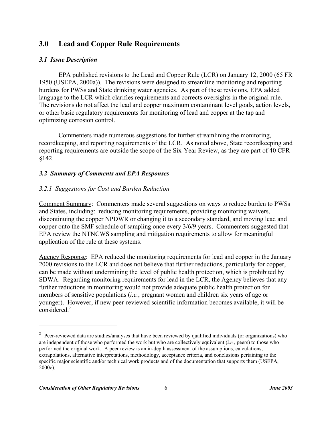## **3.0 Lead and Copper Rule Requirements**

#### *3.1 Issue Description*

EPA published revisions to the Lead and Copper Rule (LCR) on January 12, 2000 (65 FR 1950 (USEPA, 2000a)). The revisions were designed to streamline monitoring and reporting burdens for PWSs and State drinking water agencies. As part of these revisions, EPA added language to the LCR which clarifies requirements and corrects oversights in the original rule. The revisions do not affect the lead and copper maximum contaminant level goals, action levels, or other basic regulatory requirements for monitoring of lead and copper at the tap and optimizing corrosion control.

Commenters made numerous suggestions for further streamlining the monitoring, recordkeeping, and reporting requirements of the LCR. As noted above, State recordkeeping and reporting requirements are outside the scope of the Six-Year Review, as they are part of 40 CFR §142.

#### *3.2 Summary of Comments and EPA Responses*

#### *3.2.1 Suggestions for Cost and Burden Reduction*

Comment Summary: Commenters made several suggestions on ways to reduce burden to PWSs and States, including: reducing monitoring requirements, providing monitoring waivers, discontinuing the copper NPDWR or changing it to a secondary standard, and moving lead and copper onto the SMF schedule of sampling once every 3/6/9 years. Commenters suggested that EPA review the NTNCWS sampling and mitigation requirements to allow for meaningful application of the rule at these systems.

Agency Response: EPA reduced the monitoring requirements for lead and copper in the January 2000 revisions to the LCR and does not believe that further reductions, particularly for copper, can be made without undermining the level of public health protection, which is prohibited by SDWA. Regarding monitoring requirements for lead in the LCR, the Agency believes that any further reductions in monitoring would not provide adequate public health protection for members of sensitive populations (*i.e.*, pregnant women and children six years of age or younger). However, if new peer-reviewed scientific information becomes available, it will be considered.<sup>2</sup>

 $2$  Peer-reviewed data are studies/analyses that have been reviewed by qualified individuals (or organizations) who are independent of those who performed the work but who are collectively equivalent (*i.e.*, peers) to those who performed the original work. A peer review is an in-depth assessment of the assumptions, calculations, extrapolations, alternative interpretations, methodology, acceptance criteria, and conclusions pertaining to the specific major scientific and/or technical work products and of the documentation that supports them (USEPA, 2000c).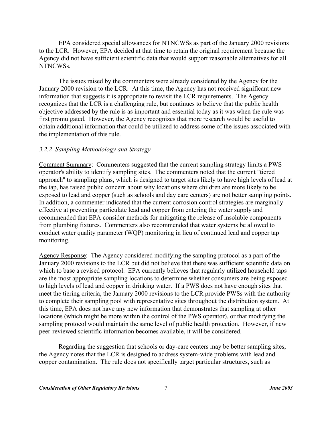EPA considered special allowances for NTNCWSs as part of the January 2000 revisions to the LCR. However, EPA decided at that time to retain the original requirement because the Agency did not have sufficient scientific data that would support reasonable alternatives for all NTNCWSs.

The issues raised by the commenters were already considered by the Agency for the January 2000 revision to the LCR. At this time, the Agency has not received significant new information that suggests it is appropriate to revisit the LCR requirements. The Agency recognizes that the LCR is a challenging rule, but continues to believe that the public health objective addressed by the rule is as important and essential today as it was when the rule was first promulgated. However, the Agency recognizes that more research would be useful to obtain additional information that could be utilized to address some of the issues associated with the implementation of this rule.

#### *3.2.2 Sampling Methodology and Strategy*

Comment Summary: Commenters suggested that the current sampling strategy limits a PWS operator's ability to identify sampling sites. The commenters noted that the current "tiered approach'' to sampling plans, which is designed to target sites likely to have high levels of lead at the tap, has raised public concern about why locations where children are more likely to be exposed to lead and copper (such as schools and day care centers) are not better sampling points. In addition, a commenter indicated that the current corrosion control strategies are marginally effective at preventing particulate lead and copper from entering the water supply and recommended that EPA consider methods for mitigating the release of insoluble components from plumbing fixtures. Commenters also recommended that water systems be allowed to conduct water quality parameter (WQP) monitoring in lieu of continued lead and copper tap monitoring.

Agency Response: The Agency considered modifying the sampling protocol as a part of the January 2000 revisions to the LCR but did not believe that there was sufficient scientific data on which to base a revised protocol. EPA currently believes that regularly utilized household taps are the most appropriate sampling locations to determine whether consumers are being exposed to high levels of lead and copper in drinking water. If a PWS does not have enough sites that meet the tiering criteria, the January 2000 revisions to the LCR provide PWSs with the authority to complete their sampling pool with representative sites throughout the distribution system. At this time, EPA does not have any new information that demonstrates that sampling at other locations (which might be more within the control of the PWS operator), or that modifying the sampling protocol would maintain the same level of public health protection. However, if new peer-reviewed scientific information becomes available, it will be considered.

Regarding the suggestion that schools or day-care centers may be better sampling sites, the Agency notes that the LCR is designed to address system-wide problems with lead and copper contamination. The rule does not specifically target particular structures, such as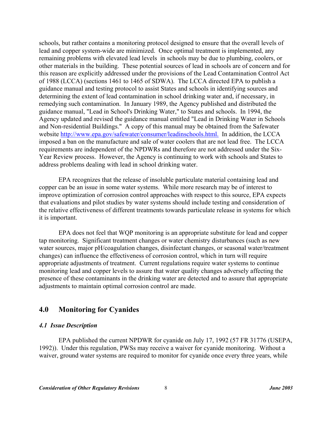schools, but rather contains a monitoring protocol designed to ensure that the overall levels of lead and copper system-wide are minimized. Once optimal treatment is implemented, any remaining problems with elevated lead levels in schools may be due to plumbing, coolers, or other materials in the building. These potential sources of lead in schools are of concern and for this reason are explicitly addressed under the provisions of the Lead Contamination Control Act of 1988 (LCCA) (sections 1461 to 1465 of SDWA). The LCCA directed EPA to publish a guidance manual and testing protocol to assist States and schools in identifying sources and determining the extent of lead contamination in school drinking water and, if necessary, in remedying such contamination. In January 1989, the Agency published and distributed the guidance manual, "Lead in School's Drinking Water," to States and schools. In 1994, the Agency updated and revised the guidance manual entitled "Lead in Drinking Water in Schools and Non-residential Buildings." A copy of this manual may be obtained from the Safewater website http://www.epa.gov/safewater/consumer/leadinschools.html. In addition, the LCCA imposed a ban on the manufacture and sale of water coolers that are not lead free. The LCCA requirements are independent of the NPDWRs and therefore are not addressed under the Six-Year Review process. However, the Agency is continuing to work with schools and States to address problems dealing with lead in school drinking water.

EPA recognizes that the release of insoluble particulate material containing lead and copper can be an issue in some water systems. While more research may be of interest to improve optimization of corrosion control approaches with respect to this source, EPA expects that evaluations and pilot studies by water systems should include testing and consideration of the relative effectiveness of different treatments towards particulate release in systems for which it is important.

EPA does not feel that WQP monitoring is an appropriate substitute for lead and copper tap monitoring. Significant treatment changes or water chemistry disturbances (such as new water sources, major pH/coagulation changes, disinfectant changes, or seasonal water/treatment changes) can influence the effectiveness of corrosion control, which in turn will require appropriate adjustments of treatment. Current regulations require water systems to continue monitoring lead and copper levels to assure that water quality changes adversely affecting the presence of these contaminants in the drinking water are detected and to assure that appropriate adjustments to maintain optimal corrosion control are made.

#### **4.0 Monitoring for Cyanides**

#### *4.1 Issue Description*

EPA published the current NPDWR for cyanide on July 17, 1992 (57 FR 31776 (USEPA, 1992)). Under this regulation, PWSs may receive a waiver for cyanide monitoring. Without a waiver, ground water systems are required to monitor for cyanide once every three years, while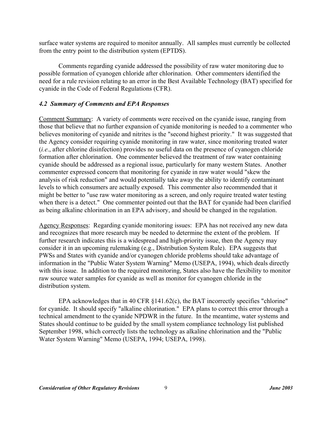surface water systems are required to monitor annually. All samples must currently be collected from the entry point to the distribution system (EPTDS).

Comments regarding cyanide addressed the possibility of raw water monitoring due to possible formation of cyanogen chloride after chlorination. Other commenters identified the need for a rule revision relating to an error in the Best Available Technology (BAT) specified for cyanide in the Code of Federal Regulations (CFR).

#### *4.2 Summary of Comments and EPA Responses*

Comment Summary: A variety of comments were received on the cyanide issue, ranging from those that believe that no further expansion of cyanide monitoring is needed to a commenter who believes monitoring of cyanide and nitrites is the "second highest priority." It was suggested that the Agency consider requiring cyanide monitoring in raw water, since monitoring treated water (*i.e*., after chlorine disinfection) provides no useful data on the presence of cyanogen chloride formation after chlorination. One commenter believed the treatment of raw water containing cyanide should be addressed as a regional issue, particularly for many western States. Another commenter expressed concern that monitoring for cyanide in raw water would "skew the analysis of risk reduction" and would potentially take away the ability to identify contaminant levels to which consumers are actually exposed. This commenter also recommended that it might be better to "use raw water monitoring as a screen, and only require treated water testing when there is a detect." One commenter pointed out that the BAT for cyanide had been clarified as being alkaline chlorination in an EPA advisory, and should be changed in the regulation.

Agency Responses: Regarding cyanide monitoring issues: EPA has not received any new data and recognizes that more research may be needed to determine the extent of the problem. If further research indicates this is a widespread and high-priority issue, then the Agency may consider it in an upcoming rulemaking (e.g., Distribution System Rule). EPA suggests that PWSs and States with cyanide and/or cyanogen chloride problems should take advantage of information in the "Public Water System Warning" Memo (USEPA, 1994), which deals directly with this issue. In addition to the required monitoring, States also have the flexibility to monitor raw source water samples for cyanide as well as monitor for cyanogen chloride in the distribution system.

EPA acknowledges that in 40 CFR §141.62(c), the BAT incorrectly specifies "chlorine" for cyanide. It should specify "alkaline chlorination." EPA plans to correct this error through a technical amendment to the cyanide NPDWR in the future. In the meantime, water systems and States should continue to be guided by the small system compliance technology list published September 1998, which correctly lists the technology as alkaline chlorination and the "Public Water System Warning" Memo (USEPA, 1994; USEPA, 1998).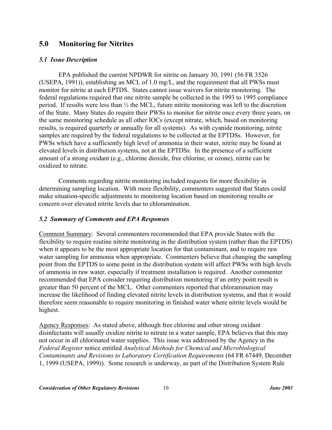## **5.0 Monitoring for Nitrites**

#### *5.1 Issue Description*

EPA published the current NPDWR for nitrite on January 30, 1991 (56 FR 3526 (USEPA, 1991)), establishing an MCL of 1.0 mg/L, and the requirement that all PWSs must monitor for nitrite at each EPTDS. States cannot issue waivers for nitrite monitoring. The federal regulations required that one nitrite sample be collected in the 1993 to 1995 compliance period. If results were less than ½ the MCL, future nitrite monitoring was left to the discretion of the State. Many States do require their PWSs to monitor for nitrite once every three years, on the same monitoring schedule as all other IOCs (except nitrate, which, based on monitoring results, is required quarterly or annually for all systems). As with cyanide monitoring, nitrite samples are required by the federal regulations to be collected at the EPTDSs. However, for PWSs which have a sufficiently high level of ammonia in their water, nitrite may be found at elevated levels in distribution systems, not at the EPTDSs. In the presence of a sufficient amount of a strong oxidant (e.g., chlorine dioxide, free chlorine, or ozone), nitrite can be oxidized to nitrate.

Comments regarding nitrite monitoring included requests for more flexibility in determining sampling location. With more flexibility, commenters suggested that States could make situation-specific adjustments to monitoring location based on monitoring results or concern over elevated nitrite levels due to chloramination.

#### *5.2 Summary of Comments and EPA Responses*

Comment Summary: Several commenters recommended that EPA provide States with the flexibility to require routine nitrite monitoring in the distribution system (rather than the EPTDS) when it appears to be the most appropriate location for that contaminant, and to require raw water sampling for ammonia when appropriate. Commenters believe that changing the sampling point from the EPTDS to some point in the distribution system will affect PWSs with high levels of ammonia in raw water, especially if treatment installation is required. Another commenter recommended that EPA consider requiring distribution monitoring if an entry point result is greater than 50 percent of the MCL. Other commenters reported that chloramination may increase the likelihood of finding elevated nitrite levels in distribution systems, and that it would therefore seem reasonable to require monitoring in finished water where nitrite levels would be highest.

Agency Responses: As stated above, although free chlorine and other strong oxidant disinfectants will usually oxidize nitrite to nitrate in a water sample, EPA believes that this may not occur in all chlorinated water supplies. This issue was addressed by the Agency in the *Federal Register* notice entitled *Analytical Methods for Chemical and Microbiological Contaminants and Revisions to Laboratory Certification Requirements* (64 FR 67449, December 1, 1999 (USEPA, 1999)). Some research is underway, as part of the Distribution System Rule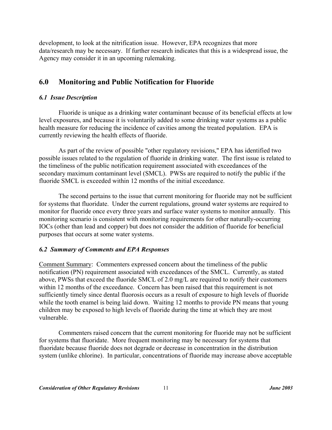development, to look at the nitrification issue. However, EPA recognizes that more data/research may be necessary. If further research indicates that this is a widespread issue, the Agency may consider it in an upcoming rulemaking.

## **6.0 Monitoring and Public Notification for Fluoride**

#### *6.1 Issue Description*

Fluoride is unique as a drinking water contaminant because of its beneficial effects at low level exposures, and because it is voluntarily added to some drinking water systems as a public health measure for reducing the incidence of cavities among the treated population. EPA is currently reviewing the health effects of fluoride.

As part of the review of possible "other regulatory revisions," EPA has identified two possible issues related to the regulation of fluoride in drinking water. The first issue is related to the timeliness of the public notification requirement associated with exceedances of the secondary maximum contaminant level (SMCL). PWSs are required to notify the public if the fluoride SMCL is exceeded within 12 months of the initial exceedance.

The second pertains to the issue that current monitoring for fluoride may not be sufficient for systems that fluoridate. Under the current regulations, ground water systems are required to monitor for fluoride once every three years and surface water systems to monitor annually. This monitoring scenario is consistent with monitoring requirements for other naturally-occurring IOCs (other than lead and copper) but does not consider the addition of fluoride for beneficial purposes that occurs at some water systems.

#### *6.2 Summary of Comments and EPA Responses*

Comment Summary: Commenters expressed concern about the timeliness of the public notification (PN) requirement associated with exceedances of the SMCL. Currently, as stated above, PWSs that exceed the fluoride SMCL of 2.0 mg/L are required to notify their customers within 12 months of the exceedance. Concern has been raised that this requirement is not sufficiently timely since dental fluorosis occurs as a result of exposure to high levels of fluoride while the tooth enamel is being laid down. Waiting 12 months to provide PN means that young children may be exposed to high levels of fluoride during the time at which they are most vulnerable.

Commenters raised concern that the current monitoring for fluoride may not be sufficient for systems that fluoridate. More frequent monitoring may be necessary for systems that fluoridate because fluoride does not degrade or decrease in concentration in the distribution system (unlike chlorine). In particular, concentrations of fluoride may increase above acceptable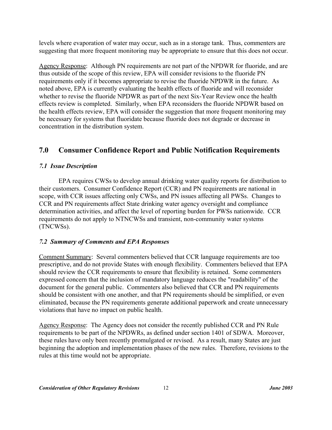levels where evaporation of water may occur, such as in a storage tank. Thus, commenters are suggesting that more frequent monitoring may be appropriate to ensure that this does not occur.

Agency Response: Although PN requirements are not part of the NPDWR for fluoride, and are thus outside of the scope of this review, EPA will consider revisions to the fluoride PN requirements only if it becomes appropriate to revise the fluoride NPDWR in the future. As noted above, EPA is currently evaluating the health effects of fluoride and will reconsider whether to revise the fluoride NPDWR as part of the next Six-Year Review once the health effects review is completed. Similarly, when EPA reconsiders the fluoride NPDWR based on the health effects review, EPA will consider the suggestion that more frequent monitoring may be necessary for systems that fluoridate because fluoride does not degrade or decrease in concentration in the distribution system.

## **7.0 Consumer Confidence Report and Public Notification Requirements**

## *7.1 Issue Description*

EPA requires CWSs to develop annual drinking water quality reports for distribution to their customers. Consumer Confidence Report (CCR) and PN requirements are national in scope, with CCR issues affecting only CWSs, and PN issues affecting all PWSs. Changes to CCR and PN requirements affect State drinking water agency oversight and compliance determination activities, and affect the level of reporting burden for PWSs nationwide. CCR requirements do not apply to NTNCWSs and transient, non-community water systems (TNCWSs).

## *7.2 Summary of Comments and EPA Responses*

Comment Summary: Several commenters believed that CCR language requirements are too prescriptive, and do not provide States with enough flexibility. Commenters believed that EPA should review the CCR requirements to ensure that flexibility is retained. Some commenters expressed concern that the inclusion of mandatory language reduces the "readability" of the document for the general public. Commenters also believed that CCR and PN requirements should be consistent with one another, and that PN requirements should be simplified, or even eliminated, because the PN requirements generate additional paperwork and create unnecessary violations that have no impact on public health.

Agency Response: The Agency does not consider the recently published CCR and PN Rule requirements to be part of the NPDWRs, as defined under section 1401 of SDWA. Moreover, these rules have only been recently promulgated or revised. As a result, many States are just beginning the adoption and implementation phases of the new rules. Therefore, revisions to the rules at this time would not be appropriate.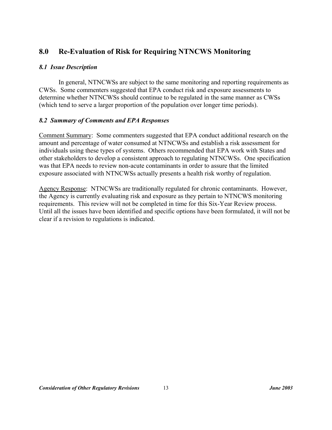## **8.0 Re-Evaluation of Risk for Requiring NTNCWS Monitoring**

#### *8.1 Issue Description*

In general, NTNCWSs are subject to the same monitoring and reporting requirements as CWSs. Some commenters suggested that EPA conduct risk and exposure assessments to determine whether NTNCWSs should continue to be regulated in the same manner as CWSs (which tend to serve a larger proportion of the population over longer time periods).

#### *8.2 Summary of Comments and EPA Responses*

Comment Summary: Some commenters suggested that EPA conduct additional research on the amount and percentage of water consumed at NTNCWSs and establish a risk assessment for individuals using these types of systems. Others recommended that EPA work with States and other stakeholders to develop a consistent approach to regulating NTNCWSs. One specification was that EPA needs to review non-acute contaminants in order to assure that the limited exposure associated with NTNCWSs actually presents a health risk worthy of regulation.

Agency Response: NTNCWSs are traditionally regulated for chronic contaminants. However, the Agency is currently evaluating risk and exposure as they pertain to NTNCWS monitoring requirements. This review will not be completed in time for this Six-Year Review process. Until all the issues have been identified and specific options have been formulated, it will not be clear if a revision to regulations is indicated.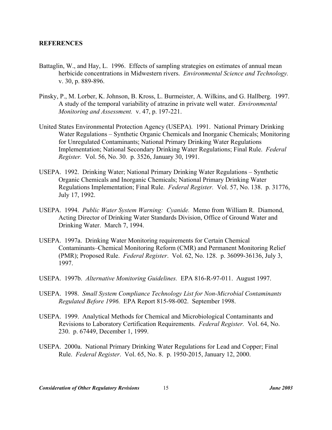#### **REFERENCES**

- Battaglin, W., and Hay, L. 1996. Effects of sampling strategies on estimates of annual mean herbicide concentrations in Midwestern rivers. *Environmental Science and Technology.*  v. 30, p. 889-896.
- Pinsky, P., M. Lorber, K. Johnson, B. Kross, L. Burmeister, A. Wilkins, and G. Hallberg. 1997. A study of the temporal variability of atrazine in private well water. *Environmental Monitoring and Assessment.* v. 47, p. 197-221.
- United States Environmental Protection Agency (USEPA). 1991. National Primary Drinking Water Regulations – Synthetic Organic Chemicals and Inorganic Chemicals; Monitoring for Unregulated Contaminants; National Primary Drinking Water Regulations Implementation; National Secondary Drinking Water Regulations; Final Rule. *Federal Register.* Vol. 56, No. 30. p. 3526, January 30, 1991.
- USEPA. 1992. Drinking Water; National Primary Drinking Water Regulations Synthetic Organic Chemicals and Inorganic Chemicals; National Primary Drinking Water Regulations Implementation; Final Rule. *Federal Register.* Vol. 57, No. 138. p. 31776, July 17, 1992.
- USEPA. 1994. *Public Water System Warning: Cyanide.* Memo from William R. Diamond, Acting Director of Drinking Water Standards Division, Office of Ground Water and Drinking Water. March 7, 1994.
- USEPA. 1997a. Drinking Water Monitoring requirements for Certain Chemical Contaminants–Chemical Monitoring Reform (CMR) and Permanent Monitoring Relief (PMR); Proposed Rule. *Federal Register*. Vol. 62, No. 128. p. 36099-36136, July 3, 1997.
- USEPA. 1997b. *Alternative Monitoring Guidelines.* EPA 816-R-97-011. August 1997.
- USEPA. 1998. *Small System Compliance Technology List for Non-Microbial Contaminants Regulated Before 1996.* EPA Report 815-98-002. September 1998.
- USEPA. 1999. Analytical Methods for Chemical and Microbiological Contaminants and Revisions to Laboratory Certification Requirements. *Federal Register.* Vol. 64, No. 230. p. 67449, December 1, 1999.
- USEPA. 2000a. National Primary Drinking Water Regulations for Lead and Copper; Final Rule. *Federal Register*. Vol. 65, No. 8. p. 1950-2015, January 12, 2000.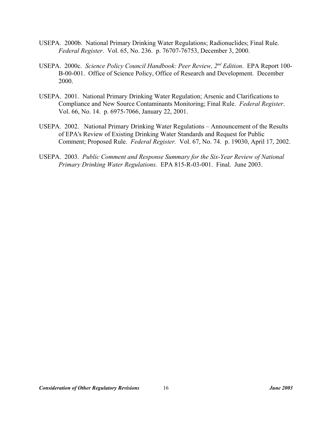- USEPA. 2000b. National Primary Drinking Water Regulations; Radionuclides; Final Rule. *Federal Register*. Vol. 65, No. 236. p. 76707-76753, December 3, 2000.
- USEPA. 2000c. *Science Policy Council Handbook: Peer Review, 2nd Edition*. EPA Report 100- B-00-001. Office of Science Policy, Office of Research and Development. December 2000.
- USEPA. 2001. National Primary Drinking Water Regulation; Arsenic and Clarifications to Compliance and New Source Contaminants Monitoring; Final Rule. *Federal Register*. Vol. 66, No. 14. p. 6975-7066, January 22, 2001.
- USEPA. 2002. National Primary Drinking Water Regulations Announcement of the Results of EPA's Review of Existing Drinking Water Standards and Request for Public Comment; Proposed Rule. *Federal Register.* Vol. 67, No. 74. p. 19030, April 17, 2002.
- USEPA. 2003. *Public Comment and Response Summary for the Six-Year Review of National Primary Drinking Water Regulations.* EPA 815-R-03-001. Final. June 2003.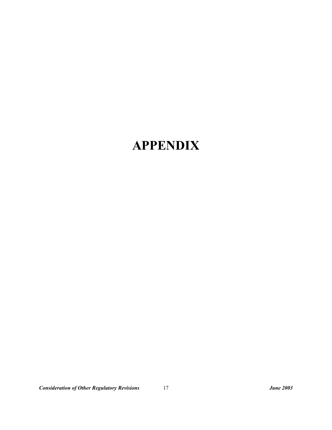# **APPENDIX**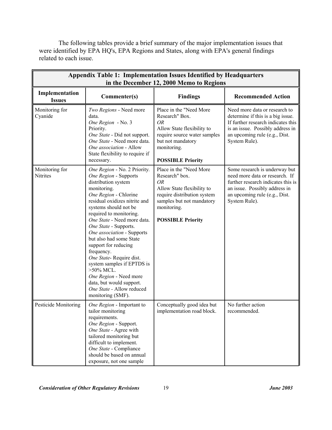The following tables provide a brief summary of the major implementation issues that were identified by EPA HQ's, EPA Regions and States, along with EPA's general findings related to each issue.

| <b>Appendix Table 1: Implementation Issues Identified by Headquarters</b><br>in the December 12, 2000 Memo to Regions |                                                                                                                                                                                                                                                                                                                                                                                                                                                                                                                                                   |                                                                                                                                                                                             |                                                                                                                                                                                                |  |
|-----------------------------------------------------------------------------------------------------------------------|---------------------------------------------------------------------------------------------------------------------------------------------------------------------------------------------------------------------------------------------------------------------------------------------------------------------------------------------------------------------------------------------------------------------------------------------------------------------------------------------------------------------------------------------------|---------------------------------------------------------------------------------------------------------------------------------------------------------------------------------------------|------------------------------------------------------------------------------------------------------------------------------------------------------------------------------------------------|--|
| Implementation<br><b>Issues</b>                                                                                       | Commenter(s)                                                                                                                                                                                                                                                                                                                                                                                                                                                                                                                                      | <b>Findings</b>                                                                                                                                                                             | <b>Recommended Action</b>                                                                                                                                                                      |  |
| Monitoring for<br>Cyanide                                                                                             | Two Regions - Need more<br>data.<br>One Region - No. 3<br>Priority.<br>One State - Did not support.<br>One State - Need more data.<br>One association - Allow<br>State flexibility to require if<br>necessary.                                                                                                                                                                                                                                                                                                                                    | Place in the "Need More<br>Research" Box.<br><b>OR</b><br>Allow State flexibility to<br>require source water samples<br>but not mandatory<br>monitoring.<br><b>POSSIBLE Priority</b>        | Need more data or research to<br>determine if this is a big issue.<br>If further research indicates this<br>is an issue. Possibly address in<br>an upcoming rule (e.g., Dist.<br>System Rule). |  |
| Monitoring for<br>Nitrites                                                                                            | One Region - No. 2 Priority.<br>One Region - Supports<br>distribution system<br>monitoring.<br>One Region - Chlorine<br>residual oxidizes nitrite and<br>systems should not be<br>required to monitoring.<br>One State - Need more data.<br>One State - Supports.<br>One association - Supports<br>but also had some State<br>support for reducing<br>frequency.<br>One State-Require dist.<br>system samples if EPTDS is<br>$>50\%$ MCL.<br>One Region - Need more<br>data, but would support.<br>One State - Allow reduced<br>monitoring (SMF). | Place in the "Need More<br>Research" box.<br><b>OR</b><br>Allow State flexibility to<br>require distribution system<br>samples but not mandatory<br>monitoring.<br><b>POSSIBLE Priority</b> | Some research is underway but<br>need more data or research. If<br>further research indicates this is<br>an issue. Possibly address in<br>an upcoming rule (e.g., Dist.<br>System Rule).       |  |
| Pesticide Monitoring                                                                                                  | One Region - Important to<br>tailor monitoring<br>requirements.<br>One Region - Support.<br>One State - Agree with<br>tailored monitoring but<br>difficult to implement.<br>One State - Compliance<br>should be based on annual<br>exposure, not one sample                                                                                                                                                                                                                                                                                       | Conceptually good idea but<br>implementation road block.                                                                                                                                    | No further action<br>recommended.                                                                                                                                                              |  |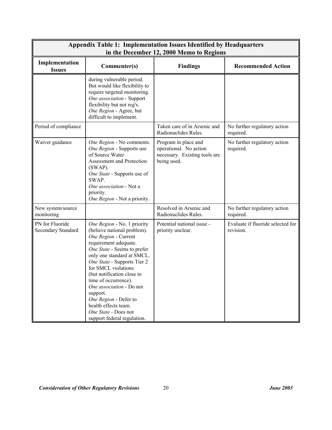| <b>Appendix Table 1: Implementation Issues Identified by Headquarters</b><br>in the December 12, 2000 Memo to Regions |                                                                                                                                                                                                                                                                                                                                                                                                                                      |                                                                                                |                                                |  |
|-----------------------------------------------------------------------------------------------------------------------|--------------------------------------------------------------------------------------------------------------------------------------------------------------------------------------------------------------------------------------------------------------------------------------------------------------------------------------------------------------------------------------------------------------------------------------|------------------------------------------------------------------------------------------------|------------------------------------------------|--|
| Implementation<br><b>Issues</b>                                                                                       | Commenter(s)                                                                                                                                                                                                                                                                                                                                                                                                                         | <b>Findings</b>                                                                                | <b>Recommended Action</b>                      |  |
|                                                                                                                       | during vulnerable period.<br>But would like flexibility to<br>require targeted monitoring.<br>One association - Support<br>flexibility but not reg's.<br>One Region - Agree, but<br>difficult to implement.                                                                                                                                                                                                                          |                                                                                                |                                                |  |
| Period of compliance                                                                                                  |                                                                                                                                                                                                                                                                                                                                                                                                                                      | Taken care of in Arsenic and<br>Radionuclides Rules.                                           | No further regulatory action<br>required.      |  |
| Waiver guidance                                                                                                       | One Region - No comments.<br>One Region - Supports use<br>of Source Water<br>Assessment and Protection<br>$(SWAP)$ .<br>One State - Supports use of<br>SWAP.<br>One association - Not a<br>priority.<br>One Region - Not a priority.                                                                                                                                                                                                 | Program in place and<br>operational. No action<br>necessary. Existing tools are<br>being used. | No further regulatory action<br>required.      |  |
| New system/source<br>monitoring                                                                                       |                                                                                                                                                                                                                                                                                                                                                                                                                                      | Resolved in Arsenic and<br>Radionuclides Rules.                                                | No further regulatory action<br>required.      |  |
| PN for Fluoride<br>Secondary Standard                                                                                 | One Region - No. 1 priority<br>(believe national problem).<br>One Region - Current<br>requirement adequate.<br>One State - Seems to prefer<br>only one standard at SMCL.<br>One State - Supports Tier 2<br>for SMCL violations<br>(but notification close to<br>time of occurrence).<br>One association - Do not<br>support.<br>One Region - Defer to<br>health effects team.<br>One State - Does not<br>support federal regulation. | Potential national issue -<br>priority unclear.                                                | Evaluate if fluoride selected for<br>revision. |  |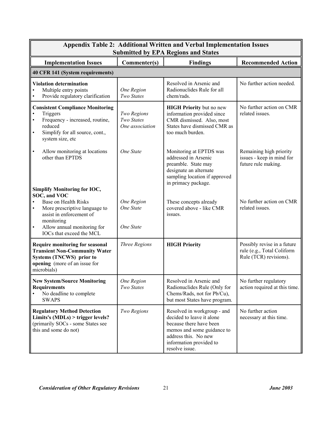| <b>Appendix Table 2: Additional Written and Verbal Implementation Issues</b><br><b>Submitted by EPA Regions and States</b>                                                                                                                  |                                              |                                                                                                                                                                                        |                                                                                     |
|---------------------------------------------------------------------------------------------------------------------------------------------------------------------------------------------------------------------------------------------|----------------------------------------------|----------------------------------------------------------------------------------------------------------------------------------------------------------------------------------------|-------------------------------------------------------------------------------------|
| <b>Implementation Issues</b>                                                                                                                                                                                                                | Commenter(s)                                 | <b>Findings</b>                                                                                                                                                                        | <b>Recommended Action</b>                                                           |
| 40 CFR 141 (System requirements)                                                                                                                                                                                                            |                                              |                                                                                                                                                                                        |                                                                                     |
| <b>Violation determination</b><br>Multiple entry points<br>Provide regulatory clarification                                                                                                                                                 | One Region<br>Two States                     | Resolved in Arsenic and<br>Radionuclides Rule for all<br>chem/rads.                                                                                                                    | No further action needed.                                                           |
| <b>Consistent Compliance Monitoring</b><br>Triggers<br>Frequency - increased, routine,<br>$\bullet$<br>reduced<br>Simplify for all source, cont.,<br>$\bullet$<br>system size, etc                                                          | Two Regions<br>Two States<br>One association | <b>HIGH Priority but no new</b><br>information provided since<br>CMR dismissed. Also, most<br>States have dismissed CMR as<br>too much burden.                                         | No further action on CMR<br>related issues.                                         |
| $\bullet$<br>Allow monitoring at locations<br>other than EPTDS                                                                                                                                                                              | One State                                    | Monitoring at EPTDS was<br>addressed in Arsenic<br>preamble. State may<br>designate an alternate<br>sampling location if approved<br>in primacy package.                               | Remaining high priority<br>issues - keep in mind for<br>future rule making.         |
| <b>Simplify Monitoring for IOC,</b><br>SOC, and VOC<br>Base on Health Risks<br>More prescriptive language to<br>$\bullet$<br>assist in enforcement of<br>monitoring<br>Allow annual monitoring for<br>$\bullet$<br>IOCs that exceed the MCL | One Region<br>One State<br>One State         | These concepts already<br>covered above - like CMR<br>issues.                                                                                                                          | No further action on CMR<br>related issues.                                         |
| <b>Require monitoring for seasonal</b><br><b>Transient Non-Community Water</b><br>Systems (TNCWS) prior to<br>opening (more of an issue for<br>microbials)                                                                                  | <b>Three Regions</b>                         | <b>HIGH Priority</b>                                                                                                                                                                   | Possibly revise in a future<br>rule (e.g., Total Coliform<br>Rule (TCR) revisions). |
| <b>New System/Source Monitoring</b><br><b>Requirements</b><br>No deadline to complete<br><b>SWAPS</b>                                                                                                                                       | One Region<br>Two States                     | Resolved in Arsenic and<br>Radionuclides Rule (Only for<br>Chems/Rads, not for Pb/Cu),<br>but most States have program.                                                                | No further regulatory<br>action required at this time.                              |
| <b>Regulatory Method Detection</b><br>Limits's $(MDLs)$ > trigger levels?<br>(primarily SOCs - some States see<br>this and some do not)                                                                                                     | Two Regions                                  | Resolved in workgroup - and<br>decided to leave it alone<br>because there have been<br>memos and some guidance to<br>address this. No new<br>information provided to<br>resolve issue. | No further action<br>necessary at this time.                                        |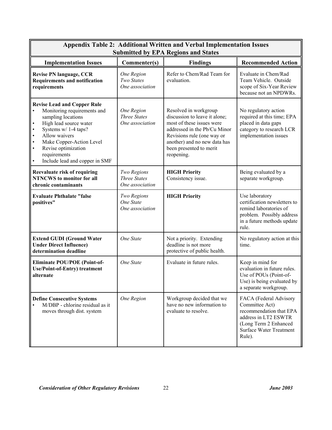| <b>Appendix Table 2: Additional Written and Verbal Implementation Issues</b><br><b>Submitted by EPA Regions and States</b>                                                                                                                                                                                                                    |                                                             |                                                                                                                                                                                                                            |                                                                                                                                                                  |
|-----------------------------------------------------------------------------------------------------------------------------------------------------------------------------------------------------------------------------------------------------------------------------------------------------------------------------------------------|-------------------------------------------------------------|----------------------------------------------------------------------------------------------------------------------------------------------------------------------------------------------------------------------------|------------------------------------------------------------------------------------------------------------------------------------------------------------------|
| <b>Implementation Issues</b>                                                                                                                                                                                                                                                                                                                  | Commenter(s)                                                | <b>Findings</b>                                                                                                                                                                                                            | <b>Recommended Action</b>                                                                                                                                        |
| <b>Revise PN language, CCR</b><br><b>Requirements and notification</b><br>requirements                                                                                                                                                                                                                                                        | <b>One Region</b><br>Two States<br>One association          | Refer to Chem/Rad Team for<br>evaluation.                                                                                                                                                                                  | Evaluate in Chem/Rad<br>Team Vehicle. Outside<br>scope of Six-Year Review<br>because not an NPDWRs.                                                              |
| <b>Revise Lead and Copper Rule</b><br>Monitoring requirements and<br>sampling locations<br>$\bullet$<br>High lead source water<br>Systems w/ 1-4 taps?<br>$\bullet$<br>Allow waivers<br>$\bullet$<br>$\bullet$<br>Make Copper-Action Level<br>$\bullet$<br>Revise optimization<br>requirements<br>$\bullet$<br>Include lead and copper in SMF | <b>One Region</b><br><b>Three States</b><br>One association | Resolved in workgroup<br>discussion to leave it alone;<br>most of these issues were<br>addressed in the Pb/Cu Minor<br>Revisions rule (one way or<br>another) and no new data has<br>been presented to merit<br>reopening. | No regulatory action<br>required at this time; EPA<br>placed in data gaps<br>category to research LCR<br>implementation issues                                   |
| Reevaluate risk of requiring<br><b>NTNCWS</b> to monitor for all<br>chronic contaminants                                                                                                                                                                                                                                                      | Two Regions<br><b>Three States</b><br>One association       | <b>HIGH Priority</b><br>Consistency issue.                                                                                                                                                                                 | Being evaluated by a<br>separate workgroup.                                                                                                                      |
| <b>Evaluate Phthalate "false</b><br>positives"                                                                                                                                                                                                                                                                                                | Two Regions<br>One State<br>One association                 | <b>HIGH Priority</b>                                                                                                                                                                                                       | Use laboratory<br>certification newsletters to<br>remind laboratories of<br>problem. Possibly address<br>in a future methods update<br>rule.                     |
| <b>Extend GUDI (Ground Water</b><br><b>Under Direct Influence)</b><br>determination deadline                                                                                                                                                                                                                                                  | One State                                                   | Not a priority. Extending<br>deadline is not more<br>protective of public health.                                                                                                                                          | No regulatory action at this<br>time.                                                                                                                            |
| <b>Eliminate POU/POE (Point-of-</b><br><b>Use/Point-of-Entry)</b> treatment<br>alternate                                                                                                                                                                                                                                                      | One State                                                   | Evaluate in future rules.                                                                                                                                                                                                  | Keep in mind for<br>evaluation in future rules.<br>Use of POUs (Point-of-<br>Use) is being evaluated by<br>a separate workgroup.                                 |
| <b>Define Consecutive Systems</b><br>M/DBP - chlorine residual as it<br>$\bullet$<br>moves through dist. system                                                                                                                                                                                                                               | One Region                                                  | Workgroup decided that we<br>have no new information to<br>evaluate to resolve.                                                                                                                                            | FACA (Federal Advisory<br>Committee Act)<br>recommendation that EPA<br>address in LT2 ESWTR<br>(Long Term 2 Enhanced<br><b>Surface Water Treatment</b><br>Rule). |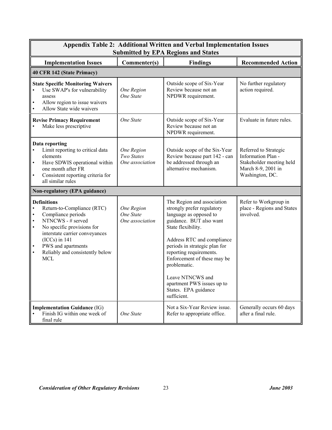| <b>Appendix Table 2: Additional Written and Verbal Implementation Issues</b><br><b>Submitted by EPA Regions and States</b>                                                                                                                                                                                                          |                                                    |                                                                                                                                                                                                                                                                                                                                                                       |                                                                                                                  |
|-------------------------------------------------------------------------------------------------------------------------------------------------------------------------------------------------------------------------------------------------------------------------------------------------------------------------------------|----------------------------------------------------|-----------------------------------------------------------------------------------------------------------------------------------------------------------------------------------------------------------------------------------------------------------------------------------------------------------------------------------------------------------------------|------------------------------------------------------------------------------------------------------------------|
| <b>Implementation Issues</b>                                                                                                                                                                                                                                                                                                        | Commenter(s)                                       | <b>Findings</b>                                                                                                                                                                                                                                                                                                                                                       | <b>Recommended Action</b>                                                                                        |
| 40 CFR 142 (State Primacy)                                                                                                                                                                                                                                                                                                          |                                                    |                                                                                                                                                                                                                                                                                                                                                                       |                                                                                                                  |
| <b>State Specific Monitoring Waivers</b><br>Use SWAP's for vulnerability<br>$\bullet$<br>assess<br>Allow region to issue waivers<br>$\bullet$<br>Allow State wide waivers<br>$\bullet$                                                                                                                                              | One Region<br>One State                            | Outside scope of Six-Year<br>Review because not an<br>NPDWR requirement.                                                                                                                                                                                                                                                                                              | No further regulatory<br>action required.                                                                        |
| <b>Revise Primacy Requirement</b><br>Make less prescriptive                                                                                                                                                                                                                                                                         | One State                                          | Outside scope of Six-Year<br>Review because not an<br>NPDWR requirement.                                                                                                                                                                                                                                                                                              | Evaluate in future rules.                                                                                        |
| Data reporting<br>Limit reporting to critical data<br>elements<br>Have SDWIS operational within<br>$\bullet$<br>one month after FR<br>Consistent reporting criteria for<br>$\bullet$<br>all similar rules                                                                                                                           | <b>One Region</b><br>Two States<br>One association | Outside scope of the Six-Year<br>Review because part 142 - can<br>be addressed through an<br>alternative mechanism.                                                                                                                                                                                                                                                   | Referred to Strategic<br>Information Plan -<br>Stakeholder meeting held<br>March 8-9, 2001 in<br>Washington, DC. |
| Non-regulatory (EPA guidance)                                                                                                                                                                                                                                                                                                       |                                                    |                                                                                                                                                                                                                                                                                                                                                                       |                                                                                                                  |
| <b>Definitions</b><br>Return-to-Compliance (RTC)<br>$\bullet$<br>Compliance periods<br>$\bullet$<br>NTNCWS - # served<br>$\bullet$<br>No specific provisions for<br>$\bullet$<br>interstate carrier conveyances<br>$(ICCs)$ in 141<br>PWS and apartments<br>$\bullet$<br>Reliably and consistently below<br>$\bullet$<br><b>MCL</b> | One Region<br>One State<br>One association         | The Region and association<br>strongly prefer regulatory<br>language as opposed to<br>guidance. BUT also want<br>State flexibility.<br>Address RTC and compliance<br>periods in strategic plan for<br>reporting requirements.<br>Enforcement of these may be<br>problematic.<br>Leave NTNCWS and<br>apartment PWS issues up to<br>States. EPA guidance<br>sufficient. | Refer to Workgroup in<br>place - Regions and States<br>involved.                                                 |
| <b>Implementation Guidance (IG)</b><br>Finish IG within one week of<br>$\bullet$<br>final rule                                                                                                                                                                                                                                      | One State                                          | Not a Six-Year Review issue.<br>Refer to appropriate office.                                                                                                                                                                                                                                                                                                          | Generally occurs 60 days<br>after a final rule.                                                                  |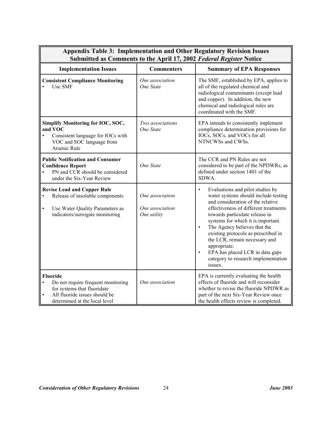| пата тарісту інгрістіст<br>Submitted as Comments to the April 17, 2002 Federal Register Notice                                                                        |                                                   |                                                                                                                                                                                                                                                                                                                                                                                                                                                                                    |  |
|-----------------------------------------------------------------------------------------------------------------------------------------------------------------------|---------------------------------------------------|------------------------------------------------------------------------------------------------------------------------------------------------------------------------------------------------------------------------------------------------------------------------------------------------------------------------------------------------------------------------------------------------------------------------------------------------------------------------------------|--|
| <b>Implementation Issues</b>                                                                                                                                          | <b>Commenters</b>                                 | <b>Summary of EPA Responses</b>                                                                                                                                                                                                                                                                                                                                                                                                                                                    |  |
| <b>Consistent Compliance Monitoring</b><br>Use SMF                                                                                                                    | One association<br>One State                      | The SMF, established by EPA, applies to<br>all of the regulated chemical and<br>radiological contaminants (except lead<br>and copper). In addition, the new<br>chemical and radiological rules are<br>coordinated with the SMF.                                                                                                                                                                                                                                                    |  |
| <b>Simplify Monitoring for IOC, SOC,</b><br>and VOC<br>Consistent language for IOCs with<br>VOC and SOC language from<br>Arsenic Rule                                 | Two associations<br>One State                     | EPA intends to consistently implement<br>compliance determination provisions for<br>IOCs, SOCs, and VOCs for all<br>NTNCWSs and CWSs.                                                                                                                                                                                                                                                                                                                                              |  |
| <b>Public Notification and Consumer</b><br><b>Confidence Report</b><br>PN and CCR should be considered<br>under the Six-Year Review                                   | One State                                         | The CCR and PN Rules are not<br>considered to be part of the NPDWRs, as<br>defined under section 1401 of the<br>SDWA.                                                                                                                                                                                                                                                                                                                                                              |  |
| <b>Revise Lead and Copper Rule</b><br>Release of insoluble components<br>$\bullet$<br>Use Water Quality Parameters as<br>$\bullet$<br>indicators/surrogate monitoring | One association<br>One association<br>One utility | Evaluations and pilot studies by<br>$\bullet$<br>water systems should include testing<br>and consideration of the relative<br>effectiveness of different treatments<br>towards particulate release in<br>systems for which it is important.<br>The Agency believes that the<br>$\bullet$<br>existing protocols as prescribed in<br>the LCR, remain necessary and<br>appropriate.<br>EPA has placed LCR in data gaps<br>$\bullet$<br>category to research implementation<br>issues. |  |
| <b>Fluoride</b><br>Do not require frequent monitoring<br>$\bullet$<br>for systems that fluoridate<br>All fluoride issues should be<br>determined at the local level   | One association                                   | EPA is currently evaluating the health<br>effects of fluoride and will reconsider<br>whether to revise the fluoride NPDWR as<br>part of the next Six-Year Review once<br>the health effects review is completed.                                                                                                                                                                                                                                                                   |  |

┍